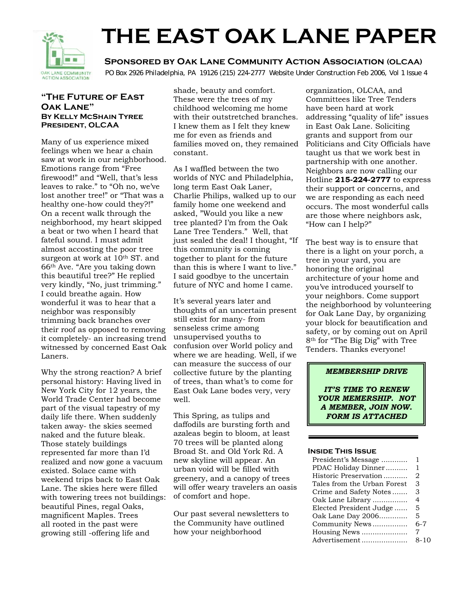

# **THE EAST OAK LANE PAPER**

 **Sponsored by Oak Lane Community Action Association (OLCAA)**

OAK LANE COMMUNITY PO Box 2926 Philadelphia, PA 19126 (215) 224-2777 Website Under Construction Feb 2006, Vol 1 Issue 4

#### **"The Future of East Oak Lane" By Kelly McShain Tyree President, OLCAA**

Many of us experience mixed feelings when we hear a chain saw at work in our neighborhood. Emotions range from "Free firewood!" and "Well, that's less leaves to rake." to "Oh no, we've lost another tree!" or "That was a healthy one-how could they?!" On a recent walk through the neighborhood, my heart skipped a beat or two when I heard that fateful sound. I must admit almost accosting the poor tree surgeon at work at 10<sup>th</sup> ST. and 66th Ave. "Are you taking down this beautiful tree?" He replied very kindly, "No, just trimming." I could breathe again. How wonderful it was to hear that a neighbor was responsibly trimming back branches over their roof as opposed to removing it completely- an increasing trend witnessed by concerned East Oak Laners.

Why the strong reaction? A brief personal history: Having lived in New York City for 12 years, the World Trade Center had become part of the visual tapestry of my daily life there. When suddenly taken away- the skies seemed naked and the future bleak. Those stately buildings represented far more than I'd realized and now gone a vacuum existed. Solace came with weekend trips back to East Oak Lane. The skies here were filled with towering trees not buildings: beautiful Pines, regal Oaks, magnificent Maples. Trees all rooted in the past were growing still -offering life and

shade, beauty and comfort. These were the trees of my childhood welcoming me home with their outstretched branches. I knew them as I felt they knew me for even as friends and families moved on, they remained constant.

As I waffled between the two worlds of NYC and Philadelphia, long term East Oak Laner, Charlie Philips, walked up to our family home one weekend and asked, "Would you like a new tree planted? I'm from the Oak Lane Tree Tenders." Well, that just sealed the deal! I thought, "If this community is coming together to plant for the future than this is where I want to live." I said goodbye to the uncertain future of NYC and home I came.

It's several years later and thoughts of an uncertain present still exist for many- from senseless crime among unsupervised youths to confusion over World policy and where we are heading. Well, if we can measure the success of our collective future by the planting of trees, than what's to come for East Oak Lane bodes very, very well.

This Spring, as tulips and daffodils are bursting forth and azaleas begin to bloom, at least 70 trees will be planted along Broad St. and Old York Rd. A new skyline will appear. An urban void will be filled with greenery, and a canopy of trees will offer weary travelers an oasis of comfort and hope.

Our past several newsletters to the Community have outlined how your neighborhood

organization, OLCAA, and Committees like Tree Tenders have been hard at work addressing "quality of life" issues in East Oak Lane. Soliciting grants and support from our Politicians and City Officials have taught us that we work best in partnership with one another. Neighbors are now calling our Hotline **215-224-2777** to express their support or concerns, and we are responding as each need occurs. The most wonderful calls are those where neighbors ask, "How can I help?"

The best way is to ensure that there is a light on your porch, a tree in your yard, you are honoring the original architecture of your home and you've introduced yourself to your neighbors. Come support the neighborhood by volunteering for Oak Lane Day, by organizing your block for beautification and safety, or by coming out on April 8th for "The Big Dig" with Tree Tenders. Thanks everyone!

#### *MEMBERSHIP DRIVE*

*IT'S TIME TO RENEW YOUR MEMERSHIP. NOT A MEMBER, JOIN NOW. FORM IS ATTACHED* 

#### **Inside This Issue**

| President's Message         |      |
|-----------------------------|------|
| PDAC Holiday Dinner         | 1    |
| Historic Preservation       | 2    |
| Tales from the Urban Forest | З    |
| Crime and Safety Notes      | З    |
| Oak Lane Library            | 4    |
| Elected President Judge     | 5    |
| Oak Lane Day 2006           | 5    |
| Community News              | 6-7  |
| Housing News                | 7    |
| Advertisement               | 8-10 |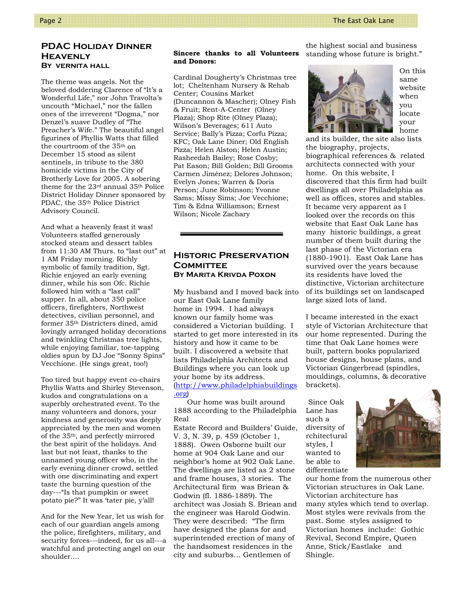#### **PDAC Holiday Dinner Heavenly By vernita hall**

The theme was angels. Not the beloved doddering Clarence of "It's a Wonderful Life," nor John Travolta's uncouth "Michael," nor the fallen ones of the irreverent "Dogma," nor Denzel's suave Dudley of "The Preacher's Wife." The beautiful angel figurines of Phyllis Watts that filled the courtroom of the 35th on December 15 stood as silent sentinels, in tribute to the 380 homicide victims in the City of Brotherly Love for 2005. A sobering theme for the 23rd annual 35th Police District Holiday Dinner sponsored by PDAC, the 35th Police District Advisory Council.

And what a heavenly feast it was! Volunteers staffed generously stocked steam and dessert tables from 11:30 AM Thurs. to "last out" at 1 AM Friday morning. Richly symbolic of family tradition, Sgt. Richie enjoyed an early evening dinner, while his son Ofc. Richie followed him with a "last call" supper. In all, about 350 police officers, firefighters, Northwest detectives, civilian personnel, and former 35th Districters dined, amid lovingly arranged holiday decorations and twinkling Christmas tree lights, while enjoying familiar, toe-tapping oldies spun by DJ Joe "Sonny Spins" Vecchione. (He sings great, too!)

Too tired but happy event co-chairs Phyllis Watts and Shirley Stevenson, kudos and congratulations on a superbly orchestrated event. To the many volunteers and donors, your kindness and generosity was deeply appreciated by the men and women of the 35th, and perfectly mirrored the best spirit of the holidays. And last but not least, thanks to the unnamed young officer who, in the early evening dinner crowd, settled with one discriminating and expert taste the burning question of the day---"Is that pumpkin or sweet potato pie?" It was 'tater pie, y'all!

And for the New Year, let us wish for each of our guardian angels among the police, firefighters, military, and security forces---indeed, for us all---a watchful and protecting angel on our shoulder....

#### **Sincere thanks to all Volunteers and Donors:**

Cardinal Dougherty's Christmas tree lot; Cheltenham Nursery & Rehab Center; Cousins Market (Duncannon & Mascher); Olney Fish & Fruit; Rent-A-Center (Olney Plaza); Shop Rite (Olney Plaza); Wilson's Beverages; 611 Auto Service; Bally's Pizza; Corfu Pizza; KFC; Oak Lane Diner; Old English Pizza; Helen Alston; Helen Austin; Rasheedah Bailey; Rose Cosby; Pat Eason; Bill Golden; Bill Grooms Carmen Jiménez; Delores Johnson; Evelyn Jones; Warren & Doris Person; June Robinson; Yvonne Sams; Missy Sims; Joe Vecchione; Tim & Edna Williamson; Ernest Wilson; Nicole Zachary

#### **Historic Preservation Committee By Marita Krivda Poxon**

My husband and I moved back into our East Oak Lane family home in 1994. I had always known our family home was considered a Victorian building. I started to get more interested in its history and how it came to be built. I discovered a website that lists Philadelphia Architects and Buildings where you can look up your home by its address. (http://www.philadelphiabuildings .org)

Our home was built around 1888 according to the Philadelphia Real

Estate Record and Builders' Guide, V. 3, N. 39, p. 459 (October 1, 1888). Owen Osborne built our home at 904 Oak Lane and our neighbor's home at 902 Oak Lane. The dwellings are listed as 2 stone and frame houses, 3 stories. The Architectural firm was Briean & Godwin (fl. 1886-1889). The architect was Josiah S. Briean and the engineer was Harold Godwin. They were described: "The firm have designed the plans for and superintended erection of many of the handsomest residences in the city and suburbs… Gentlemen of

the highest social and business standing whose future is bright."



On this same website when you locate your home

and its builder, the site also lists the biography, projects, biographical references & related architects connected with your home. On this website, I discovered that this firm had built dwellings all over Philadelphia as well as offices, stores and stables. It became very apparent as I looked over the records on this website that East Oak Lane has many historic buildings, a great number of them built during the last phase of the Victorian era (1880-1901). East Oak Lane has survived over the years because its residents have loved the distinctive, Victorian architecture of its buildings set on landscaped large sized lots of land.

I became interested in the exact style of Victorian Architecture that our home represented. During the time that Oak Lane homes were built, pattern books popularized house designs, house plans, and Victorian Gingerbread (spindles, mouldings, columns, & decorative brackets).

 Since Oak Lane has such a diversity of rchitectural styles, I wanted to be able to differentiate



our home from the numerous other Victorian structures in Oak Lane. Victorian architecture has many styles which tend to overlap. Most styles were revivals from the past. Some styles assigned to Victorian homes include: Gothic Revival, Second Empire, Queen Anne, Stick/Eastlake and Shingle.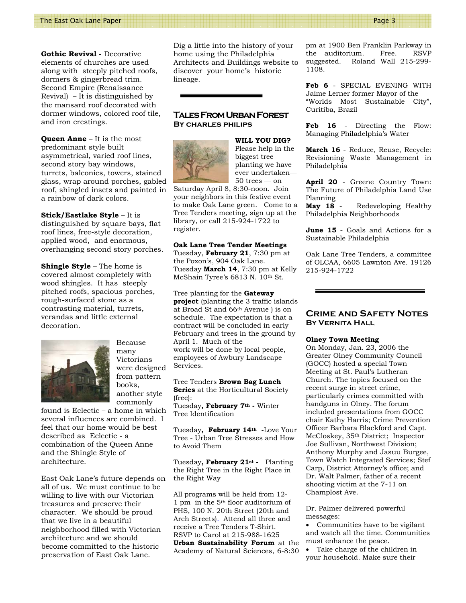**Gothic Revival** - Decorative elements of churches are used along with steeply pitched roofs, dormers & gingerbread trim. Second Empire (Renaissance Revival) – It is distinguished by the mansard roof decorated with dormer windows, colored roof tile, and iron crestings.

**Queen Anne** – It is the most predominant style built asymmetrical, varied roof lines, second story bay windows, turrets, balconies, towers, stained glass, wrap around porches, gabled roof, shingled insets and painted in a rainbow of dark colors.

**Stick/Eastlake Style** – It is distinguished by square bays, flat roof lines, free-style decoration, applied wood, and enormous, overhanging second story porches.

**Shingle Style** – The home is covered almost completely with wood shingles. It has steeply pitched roofs, spacious porches, rough-surfaced stone as a contrasting material, turrets, verandas and little external decoration.



many Victorians were designed from pattern books, another style commonly

Because

found is Eclectic – a home in which several influences are combined. I feel that our home would be best described as Eclectic - a combination of the Queen Anne and the Shingle Style of architecture.

East Oak Lane's future depends on all of us. We must continue to be willing to live with our Victorian treasures and preserve their character. We should be proud that we live in a beautiful neighborhood filled with Victorian architecture and we should become committed to the historic preservation of East Oak Lane.

Dig a little into the history of your home using the Philadelphia Architects and Buildings website to discover your home's historic lineage.

## **Tales From Urban Forest By charles philips**



**WILL YOU DIG?**  Please help in the biggest tree planting we have ever undertaken— 50 trees — on

Saturday April 8, 8:30-noon. Join your neighbors in this festive event to make Oak Lane green. Come to a Tree Tenders meeting, sign up at the library, or call 215-924-1722 to register.

#### **Oak Lane Tree Tender Meetings**

Tuesday, **February 21**, 7:30 pm at the Poxon's, 904 Oak Lane. Tuesday **March 14**, 7:30 pm at Kelly McShain Tyree's 6813 N. 10<sup>th</sup> St.

Tree planting for the **Gateway project** (planting the 3 traffic islands at Broad St and 66th Avenue ) is on schedule. The expectation is that a contract will be concluded in early February and trees in the ground by April 1. Much of the work will be done by local people, employees of Awbury Landscape Services.

Tree Tenders **Brown Bag Lunch Series** at the Horticultural Society (free):

Tuesday**, February 7th -** Winter Tree Identification

Tuesday**, February 14th -**Love Your Tree - Urban Tree Stresses and How to Avoid Them

Tuesday**, February 21st -** Planting the Right Tree in the Right Place in the Right Way

All programs will be held from 12- 1 pm in the 5th floor auditorium of PHS, 100 N. 20th Street (20th and Arch Streets). Attend all three and receive a Tree Tenders T-Shirt. RSVP to Carol at 215-988-1625 **Urban Sustainability Forum** at the Academy of Natural Sciences, 6-8:30 pm at 1900 Ben Franklin Parkway in the auditorium. Free. RSVP suggested. Roland Wall 215-299- 1108.

**Feb 6** - SPECIAL EVENING WITH Jaime Lerner former Mayor of the "Worlds Most Sustainable City", Curitiba, Brazil

**Feb 16** - Directing the Flow: Managing Philadelphia's Water

**March 16** - Reduce, Reuse, Recycle: Revisioning Waste Management in Philadelphia

**April 20** - Greene Country Town: The Future of Philadelphia Land Use Planning<br>May 18 -

Redeveloping Healthy Philadelphia Neighborhoods

**June 15** - Goals and Actions for a Sustainable Philadelphia

Oak Lane Tree Tenders, a committee of OLCAA, 6605 Lawnton Ave. 19126 215-924-1722

#### **Crime and Safety Notes By Vernita Hall**

#### **Olney Town Meeting**

On Monday, Jan. 23, 2006 the Greater Olney Community Council (GOCC) hosted a special Town Meeting at St. Paul's Lutheran Church. The topics focused on the recent surge in street crime, particularly crimes committed with handguns in Olney. The forum included presentations from GOCC chair Kathy Harris; Crime Prevention Officer Barbara Blackford and Capt. McCloskey, 35th District; Inspector Joe Sullivan, Northwest Division; Anthony Murphy and Jasuu Burgee, Town Watch Integrated Services; Stef Carp, District Attorney's office; and Dr. Walt Palmer, father of a recent shooting victim at the 7-11 on Champlost Ave.

Dr. Palmer delivered powerful messages:

• Communities have to be vigilant and watch all the time. Communities must enhance the peace.

Take charge of the children in your household. Make sure their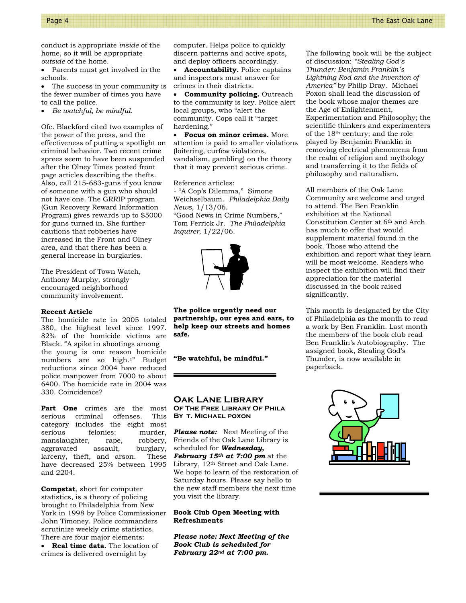conduct is appropriate *inside* of the home, so it will be appropriate *outside* of the home.

• Parents must get involved in the schools.

The success in your community is the fewer number of times you have to call the police.

• *Be watchful, be mindful.* 

Ofc. Blackford cited two examples of the power of the press, and the effectiveness of putting a spotlight on criminal behavior. Two recent crime sprees seem to have been suspended after the Olney Times posted front page articles describing the thefts. Also, call 215-683-guns if you know of someone with a gun who should not have one. The GRRIP program (Gun Recovery Reward Information Program) gives rewards up to \$5000 for guns turned in. She further cautions that robberies have increased in the Front and Olney area, and that there has been a general increase in burglaries.

The President of Town Watch, Anthony Murphy, strongly encouraged neighborhood community involvement.

#### **Recent Article**

The homicide rate in 2005 totaled 380, the highest level since 1997. 82% of the homicide victims are Black. "A spike in shootings among the young is one reason homicide numbers are so high.1" Budget reductions since 2004 have reduced police manpower from 7000 to about 6400. The homicide rate in 2004 was 330. Coincidence?

**Part One** crimes are the most serious criminal offenses. This category includes the eight most serious felonies: murder, manslaughter, rape, robbery, aggravated assault, burglary, larceny, theft, and arson. These have decreased 25% between 1995 and 2204.

**Compstat**, short for computer statistics, is a theory of policing brought to Philadelphia from New York in 1998 by Police Commissioner John Timoney. Police commanders scrutinize weekly crime statistics. There are four major elements:

• **Real time data.** The location of crimes is delivered overnight by

computer. Helps police to quickly discern patterns and active spots, and deploy officers accordingly.

• **Accountability.** Police captains and inspectors must answer for crimes in their districts.

• **Community policing.** Outreach to the community is key. Police alert local groups, who "alert the community. Cops call it "target hardening."

• **Focus on minor crimes.** More attention is paid to smaller violations (loitering, curfew violations, vandalism, gambling) on the theory that it may prevent serious crime.

Reference articles: 1 "A Cop's Dilemma," Simone Weichselbaum. *Philadelphia Daily News*, 1/13/06. "Good News in Crime Numbers," Tom Ferrick Jr. *The Philadelphia Inquirer*, 1/22/06.



**The police urgently need our partnership, our eyes and ears, to help keep our streets and homes safe.**

#### **"Be watchful, be mindful."**

#### **Oak Lane Library Of The Free Library Of Phila By t. Michael poxon**

*Please note:* Next Meeting of the Friends of the Oak Lane Library is scheduled for *Wednesday, February 15th at 7:00 pm* at the Library, 12th Street and Oak Lane. We hope to learn of the restoration of Saturday hours. Please say hello to the new staff members the next time you visit the library.

#### **Book Club Open Meeting with Refreshments**

*Please note: Next Meeting of the Book Club is scheduled for February 22nd at 7:00 pm***.**

The following book will be the subject of discussion: *"Stealing God's Thunder: Benjamin Franklin's Lightning Rod and the Invention of America"* by Philip Dray. Michael Poxon shall lead the discussion of the book whose major themes are the Age of Enlightenment, Experimentation and Philosophy; the scientific thinkers and experimenters of the 18th century; and the role played by Benjamin Franklin in removing electrical phenomena from the realm of religion and mythology and transferring it to the fields of philosophy and naturalism.

All members of the Oak Lane Community are welcome and urged to attend. The Ben Franklin exhibition at the National Constitution Center at 6th and Arch has much to offer that would supplement material found in the book. Those who attend the exhibition and report what they learn will be most welcome. Readers who inspect the exhibition will find their appreciation for the material discussed in the book raised significantly.

This month is designated by the City of Philadelphia as the month to read a work by Ben Franklin. Last month the members of the book club read Ben Franklin's Autobiography. The assigned book, Stealing God's Thunder, is now available in paperback.

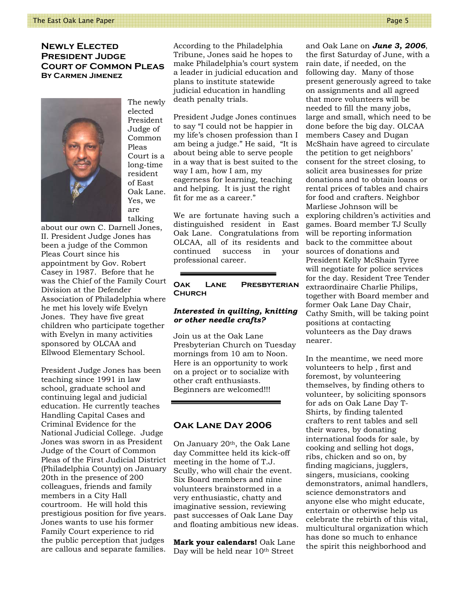#### **Newly Elected President Judge Court of Common Pleas By Carmen Jimenez**



The newly elected President Judge of Common Pleas Court is a long-time resident of East Oak Lane. Yes, we are talking

about our own C. Darnell Jones, II. President Judge Jones has been a judge of the Common Pleas Court since his appointment by Gov. Robert Casey in 1987. Before that he was the Chief of the Family Court Division at the Defender Association of Philadelphia where he met his lovely wife Evelyn Jones. They have five great children who participate together with Evelyn in many activities sponsored by OLCAA and Ellwood Elementary School.

President Judge Jones has been teaching since 1991 in law school, graduate school and continuing legal and judicial education. He currently teaches Handling Capital Cases and Criminal Evidence for the National Judicial College. Judge Jones was sworn in as President Judge of the Court of Common Pleas of the First Judicial District (Philadelphia County) on January 20th in the presence of 200 colleagues, friends and family members in a City Hall courtroom. He will hold this prestigious position for five years. Jones wants to use his former Family Court experience to rid the public perception that judges are callous and separate families.

According to the Philadelphia Tribune, Jones said he hopes to make Philadelphia's court system a leader in judicial education and plans to institute statewide judicial education in handling death penalty trials.

President Judge Jones continues to say "I could not be happier in my life's chosen profession than I am being a judge." He said, "It is about being able to serve people in a way that is best suited to the way I am, how I am, my eagerness for learning, teaching and helping. It is just the right fit for me as a career."

We are fortunate having such a distinguished resident in East Oak Lane. Congratulations from OLCAA, all of its residents and continued success in your professional career.

#### **Oak Lane Presbyterian Church**

#### *Interested in quilting, knitting or other needle crafts?*

Join us at the Oak Lane Presbyterian Church on Tuesday mornings from 10 am to Noon. Here is an opportunity to work on a project or to socialize with other craft enthusiasts. Beginners are welcomed!!!

#### **Oak Lane Day 2006**

On January 20<sup>th</sup>, the Oak Lane day Committee held its kick-off meeting in the home of T.J. Scully, who will chair the event. Six Board members and nine volunteers brainstormed in a very enthusiastic, chatty and imaginative session, reviewing past successes of Oak Lane Day and floating ambitious new ideas.

**Mark your calendars!** Oak Lane Day will be held near 10th Street

and Oak Lane on *June 3, 2006*, the first Saturday of June, with a rain date, if needed, on the following day. Many of those present generously agreed to take on assignments and all agreed that more volunteers will be needed to fill the many jobs, large and small, which need to be done before the big day. OLCAA members Casey and Dugan McShain have agreed to circulate the petition to get neighbors' consent for the street closing, to solicit area businesses for prize donations and to obtain loans or rental prices of tables and chairs for food and crafters. Neighbor Marliese Johnson will be exploring children's activities and games. Board member TJ Scully will be reporting information back to the committee about sources of donations and President Kelly McShain Tyree will negotiate for police services for the day. Resident Tree Tender extraordinaire Charlie Philips, together with Board member and former Oak Lane Day Chair, Cathy Smith, will be taking point positions at contacting volunteers as the Day draws nearer.

In the meantime, we need more volunteers to help , first and foremost, by volunteering themselves, by finding others to volunteer, by soliciting sponsors for ads on Oak Lane Day T-Shirts, by finding talented crafters to rent tables and sell their wares, by donating international foods for sale, by cooking and selling hot dogs, ribs, chicken and so on, by finding magicians, jugglers, singers, musicians, cooking demonstrators, animal handlers, science demonstrators and anyone else who might educate, entertain or otherwise help us celebrate the rebirth of this vital, multicultural organization which has done so much to enhance the spirit this neighborhood and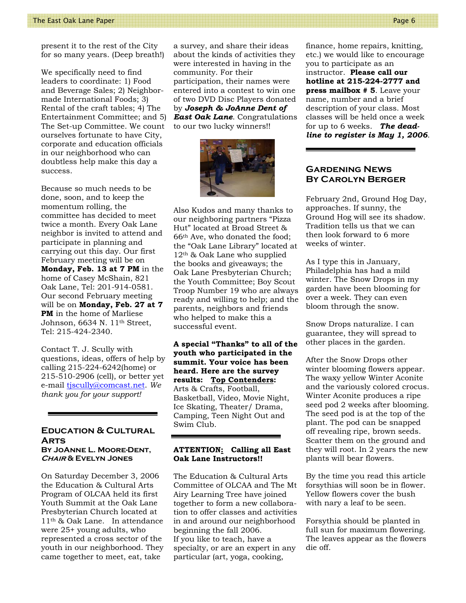present it to the rest of the City for so many years. (Deep breath!)

We specifically need to find leaders to coordinate: 1) Food and Beverage Sales; 2) Neighbormade International Foods; 3) Rental of the craft tables; 4) The Entertainment Committee; and 5) The Set-up Committee. We count ourselves fortunate to have City, corporate and education officials in our neighborhood who can doubtless help make this day a success.

Because so much needs to be done, soon, and to keep the momentum rolling, the committee has decided to meet twice a month. Every Oak Lane neighbor is invited to attend and participate in planning and carrying out this day. Our first February meeting will be on **Monday, Feb. 13 at 7 PM** in the home of Casey McShain, 821 Oak Lane, Tel: 201-914-0581. Our second February meeting will be on **Monday, Feb. 27 at 7 PM** in the home of Marliese Johnson, 6634 N. 11th Street, Tel: 215-424-2340.

Contact T. J. Scully with questions, ideas, offers of help by calling 215-224-6242(home) or 215-510-2906 (cell), or better yet e-mail tjscully@comcast.net. *We thank you for your support!*

#### **Education & Cultural Arts By JoAnne L. Moore-Dent, Chair & Evelyn Jones**

On Saturday December 3, 2006 the Education & Cultural Arts Program of OLCAA held its first Youth Summit at the Oak Lane Presbyterian Church located at 11th & Oak Lane. In attendance were 25+ young adults, who represented a cross sector of the youth in our neighborhood. They came together to meet, eat, take

a survey, and share their ideas about the kinds of activities they were interested in having in the community. For their participation, their names were entered into a contest to win one of two DVD Disc Players donated by *Joseph & JoAnne Dent of East Oak Lane*. Congratulations to our two lucky winners!!



Also Kudos and many thanks to our neighboring partners "Pizza Hut" located at Broad Street & 66th Ave, who donated the food; the "Oak Lane Library" located at  $12<sup>th</sup>$  & Oak Lane who supplied the books and giveaways; the Oak Lane Presbyterian Church; the Youth Committee; Boy Scout Troop Number 19 who are always ready and willing to help; and the parents, neighbors and friends who helped to make this a successful event.

**A special "Thanks" to all of the youth who participated in the summit. Your voice has been heard. Here are the survey results: Top Contenders:**  Arts & Crafts, Football, Basketball, Video, Movie Night, Ice Skating, Theater/ Drama, Camping, Teen Night Out and Swim Club.

#### **ATTENTION: Calling all East Oak Lane Instructors!!**

The Education & Cultural Arts Committee of OLCAA and The Mt Airy Learning Tree have joined together to form a new collaboration to offer classes and activities in and around our neighborhood beginning the fall 2006. If you like to teach, have a specialty, or are an expert in any particular (art, yoga, cooking,

finance, home repairs, knitting, etc.) we would like to encourage you to participate as an instructor. **Please call our hotline at 215-224-2777 and press mailbox # 5**. Leave your name, number and a brief description of your class. Most classes will be held once a week for up to 6 weeks. *The deadline to register is May 1, 2006*.

#### **Gardening News By Carolyn Berger**

February 2nd, Ground Hog Day, approaches. If sunny, the Ground Hog will see its shadow. Tradition tells us that we can then look forward to 6 more weeks of winter.

As I type this in January, Philadelphia has had a mild winter. The Snow Drops in my garden have been blooming for over a week. They can even bloom through the snow.

Snow Drops naturalize. I can guarantee, they will spread to other places in the garden.

After the Snow Drops other winter blooming flowers appear. The waxy yellow Winter Aconite and the variously colored crocus. Winter Aconite produces a ripe seed pod 2 weeks after blooming. The seed pod is at the top of the plant. The pod can be snapped off revealing ripe, brown seeds. Scatter them on the ground and they will root. In 2 years the new plants will bear flowers.

By the time you read this article forsythias will soon be in flower. Yellow flowers cover the bush with nary a leaf to be seen.

Forsythia should be planted in full sun for maximum flowering. The leaves appear as the flowers die off.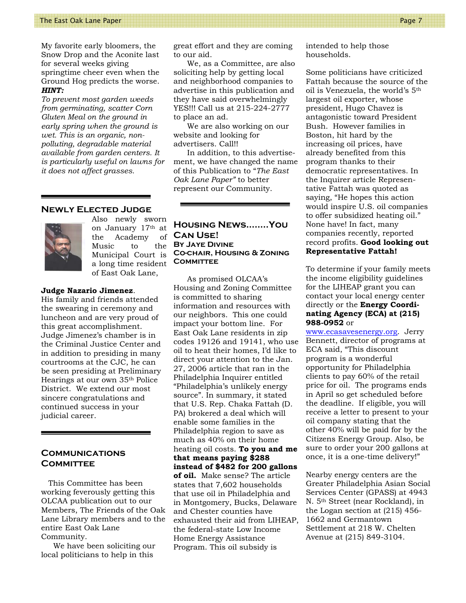My favorite early bloomers, the Snow Drop and the Aconite last for several weeks giving springtime cheer even when the Ground Hog predicts the worse. *HINT:* 

*To prevent most garden weeds from germinating, scatter Corn Gluten Meal on the ground in early spring when the ground is wet. This is an organic, nonpolluting, degradable material available from garden centers. It is particularly useful on lawns for it does not affect grasses.* 

#### **Newly Elected Judge**



Also newly sworn on January 17th at the Academy of Music to the Municipal Court is a long time resident of East Oak Lane,

#### **Judge Nazario Jimenez**.

His family and friends attended the swearing in ceremony and luncheon and are very proud of this great accomplishment. Judge Jimenez's chamber is in the Criminal Justice Center and in addition to presiding in many courtrooms at the CJC, he can be seen presiding at Preliminary Hearings at our own 35th Police District. We extend our most sincere congratulations and continued success in your judicial career.

#### **Communications Committee**

 This Committee has been working feverously getting this OLCAA publication out to our Members, The Friends of the Oak Lane Library members and to the entire East Oak Lane Community.

 We have been soliciting our local politicians to help in this

great effort and they are coming to our aid.

We, as a Committee, are also soliciting help by getting local and neighborhood companies to advertise in this publication and they have said overwhelmingly YES!!! Call us at 215-224-2777 to place an ad.

 We are also working on our website and looking for advertisers. Call!!

 In addition, to this advertisement, we have changed the name of this Publication to "*The East Oak Lane Paper"* to better represent our Community.

**Housing News……..You Can Use! By Jaye Divine Co-chair, Housing & Zoning COMMITTEE** 

 As promised OLCAA's Housing and Zoning Committee is committed to sharing information and resources with our neighbors. This one could impact your bottom line. For East Oak Lane residents in zip codes 19126 and 19141, who use oil to heat their homes, I'd like to direct your attention to the Jan. 27, 2006 article that ran in the Philadelphia Inquirer entitled "Philadelphia's unlikely energy source". In summary, it stated that U.S. Rep. Chaka Fattah (D. PA) brokered a deal which will enable some families in the Philadelphia region to save as much as 40% on their home heating oil costs. **To you and me that means paying \$288 instead of \$482 for 200 gallons** 

**of oil.** Make sense? The article states that 7,602 households that use oil in Philadelphia and in Montgomery, Bucks, Delaware and Chester counties have exhausted their aid from LIHEAP, the federal-state Low Income Home Energy Assistance Program. This oil subsidy is

intended to help those households.

Some politicians have criticized Fattah because the source of the oil is Venezuela, the world's 5th largest oil exporter, whose president, Hugo Chavez is antagonistic toward President Bush. However families in Boston, hit hard by the increasing oil prices, have already benefited from this program thanks to their democratic representatives. In the Inquirer article Representative Fattah was quoted as saying, "He hopes this action would inspire U.S. oil companies to offer subsidized heating oil." None have! In fact, many companies recently, reported record profits. **Good looking out Representative Fattah!** 

To determine if your family meets the income eligibility guidelines for the LIHEAP grant you can contact your local energy center directly or the **Energy Coordinating Agency (ECA) at (215) 988-0952** or

www.ecasavesenergy.org. Jerry Bennett, director of programs at ECA said, "This discount program is a wonderful opportunity for Philadelphia clients to pay 60% of the retail price for oil. The programs ends in April so get scheduled before the deadline. If eligible, you will receive a letter to present to your oil company stating that the other 40% will be paid for by the Citizens Energy Group. Also, be sure to order your 200 gallons at once, it is a one-time delivery!"

Nearby energy centers are the Greater Philadelphia Asian Social Services Center (GPASS) at 4943 N. 5th Street (near Rockland), in the Logan section at (215) 456- 1662 and Germantown Settlement at 218 W. Chelten Avenue at (215) 849-3104.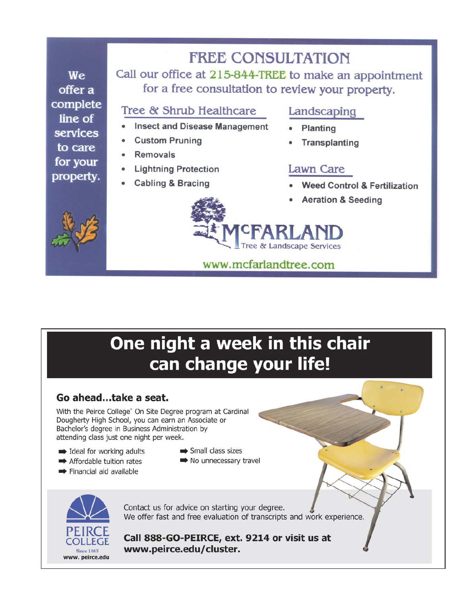# **FREE CONSULTATION**

We offer a complete line of services to care for your property.

Call our office at 215-844-TREE to make an appointment for a free consultation to review your property.

### Tree & Shrub Healthcare

- **Insect and Disease Management**
- **Custom Pruning**
- **Removals**
- **Lightning Protection**
- **Cabling & Bracing**

## Landscaping

- Planting
- Transplanting

## **Lawn Care**

- **Weed Control & Fertilization**
- **Aeration & Seeding**



# ee & Landscape Services

## www.mcfarlandtree.com

# One night a week in this chair can change your life!

## Go ahead...take a seat.

With the Peirce College® On Site Degree program at Cardinal Dougherty High School, you can earn an Associate or Bachelor's degree in Business Administration by attending class just one night per week.

- deal for working adults
- Affordable tuition rates
- Financial aid available
- $\Rightarrow$  Small class sizes
- $\Rightarrow$  No unnecessary travel



Contact us for advice on starting your degree. We offer fast and free evaluation of transcripts and work experience.

Call 888-GO-PEIRCE, ext. 9214 or visit us at www.peirce.edu/cluster.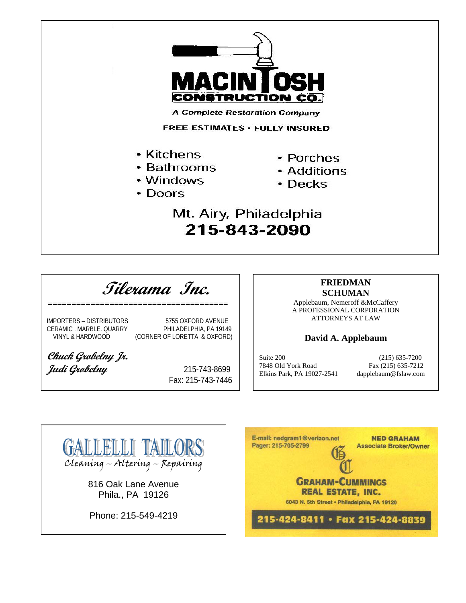

**Tilerama Inc.** *======================================* 

IMPORTERS - DISTRIBUTORS 5755 OXFORD AVENUE CERAMIC . MARBLE. QUARRY PHILADELPHIA, PA 19149 (CORNER OF LORETTA & OXFORD)

**Chuck Grobelny Jr.**  *Judi Grobelny* 215-743-8699

Fax: 215-743-7446

#### **FRIEDMAN SCHUMAN**

Applebaum, Nemeroff &McCaffery A PROFESSIONAL CORPORATION ATTORNEYS AT LAW

#### **David A. Applebaum**

Suite 200 (215) 635-7200 7848 Old York Road Fax (215) 635-7212 Elkins Park, PA 19027-2541 dapplebaum@fslaw.com



E-mail: nedgram1@verizon.net **NED GRAHAM** Pager: 215-705-2799 **Associate Broker/Owner GRAHAM-CUMMINGS REAL ESTATE, INC.** 6043 N. 5th Street . Philadelphia, PA 19120 215-424-8411 · Fax 215-424-8839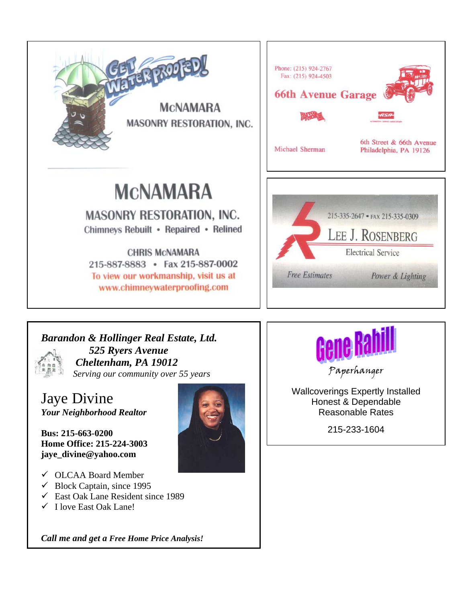



Jaye Divine *Your Neighborhood Realtor* 

**Bus: 215-663-0200 Home Office: 215-224-3003 jaye\_divine@yahoo.com** 

- 9 OLCAA Board Member
- $\checkmark$  Block Captain, since 1995
- $\checkmark$  East Oak Lane Resident since 1989
- $\checkmark$  I love East Oak Lane!

*Call me and get a Free Home Price Analysis!*





Paperhanger

Wallcoverings Expertly Installed Honest & Dependable Reasonable Rates

215-233-1604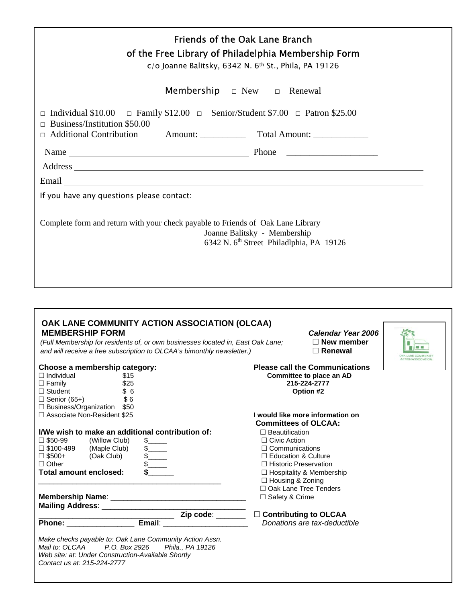| <b>Friends of the Oak Lane Branch</b><br>of the Free Library of Philadelphia Membership Form<br>c/o Joanne Balitsky, 6342 N. 6th St., Phila, PA 19126                                                               |
|---------------------------------------------------------------------------------------------------------------------------------------------------------------------------------------------------------------------|
| <b>Membership</b> $\Box$ New $\Box$ Renewal                                                                                                                                                                         |
| Individual \$10.00 $\Box$ Family \$12.00 $\Box$ Senior/Student \$7.00 $\Box$ Patron \$25.00<br>Business/Institution \$50.00<br>п<br>□ Additional Contribution Amount: ______________ Total Amount: ________________ |
|                                                                                                                                                                                                                     |
|                                                                                                                                                                                                                     |
|                                                                                                                                                                                                                     |
| If you have any questions please contact:                                                                                                                                                                           |
| Complete form and return with your check payable to Friends of Oak Lane Library<br>Joanne Balitsky - Membership<br>6342 N. 6 <sup>th</sup> Street Philadlphia, PA 19126                                             |
|                                                                                                                                                                                                                     |

| <b>MEMBERSHIP FORM</b>                                                                                                                     | OAK LANE COMMUNITY ACTION ASSOCIATION (OLCAA)<br>(Full Membership for residents of, or own businesses located in, East Oak Lane;<br>and will receive a free subscription to OLCAA's bimonthly newsletter.) |                                                                                                                                | Calendar Year 2006<br>$\Box$ New member<br>$\Box$ Renewal                                      |  |
|--------------------------------------------------------------------------------------------------------------------------------------------|------------------------------------------------------------------------------------------------------------------------------------------------------------------------------------------------------------|--------------------------------------------------------------------------------------------------------------------------------|------------------------------------------------------------------------------------------------|--|
| Choose a membership category:<br>$\Box$ Individual<br>$\Box$ Family<br>$\Box$ Student<br>$\Box$ Senior (65+)                               | \$15<br>\$25<br>\$6<br>\$6                                                                                                                                                                                 |                                                                                                                                | <b>Please call the Communications</b><br>Committee to place an AD<br>215-224-2777<br>Option #2 |  |
| $\Box$ Business/Organization \$50<br>□ Associate Non-Resident \$25                                                                         |                                                                                                                                                                                                            |                                                                                                                                | I would like more information on<br><b>Committees of OLCAA:</b>                                |  |
| $\Box$ \$50-99<br>(Willow Club)<br>□ \$100-499<br>(Maple Club)<br>$\square$ \$500+<br>(Oak Club)<br>$\Box$ Other<br>Total amount enclosed: | I/We wish to make an additional contribution of:<br>$\frac{1}{2}$<br>$\frac{1}{2}$<br>$\sqrt{2}$<br>$\sqrt{2}$                                                                                             | $\Box$ Beautification<br>$\Box$ Civic Action<br>$\Box$ Communications<br>$\Box$ Education & Culture<br>$\Box$ Housing & Zoning | $\Box$ Historic Preservation<br>$\Box$ Hospitality & Membership                                |  |
| Mailing Address: ________________________                                                                                                  |                                                                                                                                                                                                            | $\Box$ Safety & Crime                                                                                                          | □ Oak Lane Tree Tenders                                                                        |  |
| <b>Phone: Contract Phone:</b>                                                                                                              | <u>Net Contributing</u> to OLCAA<br><b>Email:</b> _____________________                                                                                                                                    |                                                                                                                                | Donations are tax-deductible                                                                   |  |